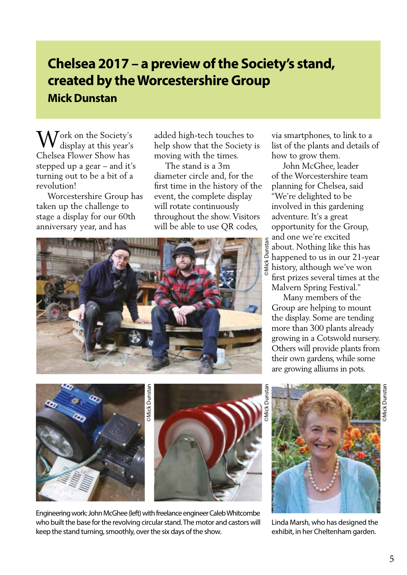## **Chelsea 2017 – a preview of the Society's stand, created by the Worcestershire Group Mick Dunstan**

Work on the Society's<br>display at this year's display at this year's Chelsea Flower Show has stepped up a gear – and it's turning out to be a bit of a revolution!

 Worcestershire Group has taken up the challenge to stage a display for our 60th anniversary year, and has

added high-tech touches to help show that the Society is moving with the times.

 The stand is a 3m diameter circle and, for the first time in the history of the event, the complete display will rotate continuously throughout the show. Visitors will be able to use QR codes,



via smartphones, to link to a list of the plants and details of how to grow them.

 John McGhee, leader of the Worcestershire team planning for Chelsea, said "We're delighted to be involved in this gardening adventure. It's a great opportunity for the Group, and one we're excited about. Nothing like this has happened to us in our 21-year history, although we've won first prizes several times at the Malvern Spring Festival."

 Many members of the Group are helping to mount the display. Some are tending more than 300 plants already growing in a Cotswold nursery. Others will provide plants from their own gardens, while some are growing alliums in pots.





Engineering work: John McGhee (left) with freelance engineer Caleb Whitcombe who built the base for the revolving circular stand. The motor and castors will keep the stand turning, smoothly, over the six days of the show.

©Mick Dunstan



Linda Marsh, who has designed the exhibit, in her Cheltenham garden.

©Mick Dunstan

**Mick Dunstar**